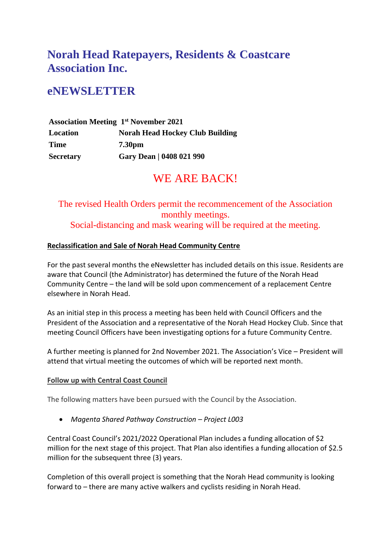# **Norah Head Ratepayers, Residents & Coastcare Association Inc.**

## **eNEWSLETTER**

|                  | <b>Association Meeting 1st November 2021</b> |
|------------------|----------------------------------------------|
| Location         | <b>Norah Head Hockey Club Building</b>       |
| <b>Time</b>      | <b>7.30pm</b>                                |
| <b>Secretary</b> | Gary Dean   0408 021 990                     |

### WE ARE BACK!

The revised Health Orders permit the recommencement of the Association monthly meetings. Social-distancing and mask wearing will be required at the meeting.

### **Reclassification and Sale of Norah Head Community Centre**

For the past several months the eNewsletter has included details on this issue. Residents are aware that Council (the Administrator) has determined the future of the Norah Head Community Centre – the land will be sold upon commencement of a replacement Centre elsewhere in Norah Head.

As an initial step in this process a meeting has been held with Council Officers and the President of the Association and a representative of the Norah Head Hockey Club. Since that meeting Council Officers have been investigating options for a future Community Centre.

A further meeting is planned for 2nd November 2021. The Association's Vice – President will attend that virtual meeting the outcomes of which will be reported next month.

### **Follow up with Central Coast Council**

The following matters have been pursued with the Council by the Association.

• *Magenta Shared Pathway Construction – Project L003*

Central Coast Council's 2021/2022 Operational Plan includes a funding allocation of \$2 million for the next stage of this project. That Plan also identifies a funding allocation of \$2.5 million for the subsequent three (3) years.

Completion of this overall project is something that the Norah Head community is looking forward to – there are many active walkers and cyclists residing in Norah Head.